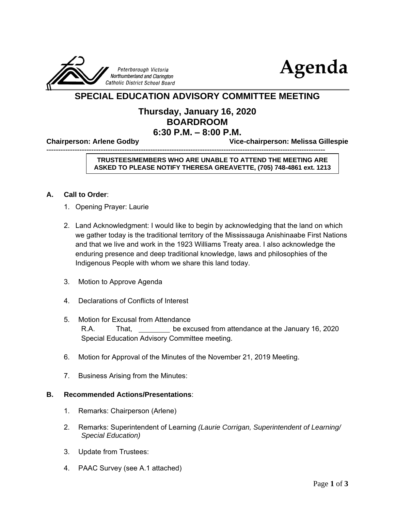



# **SPECIAL EDUCATION ADVISORY COMMITTEE MEETING**

# **Thursday, January 16, 2020 BOARDROOM 6:30 P.M. – 8:00 P.M.**

**Chairperson: Arlene Godby Vice-chairperson: Melissa Gillespie** 

----------------------------------------------------------------------------------------------------------------------

## **TRUSTEES/MEMBERS WHO ARE UNABLE TO ATTEND THE MEETING ARE ASKED TO PLEASE NOTIFY THERESA GREAVETTE, (705) 748-4861 ext. 1213**

#### **A. Call to Order**:

- 1. Opening Prayer: Laurie
- 2. Land Acknowledgment: I would like to begin by acknowledging that the land on which we gather today is the traditional territory of the Mississauga Anishinaabe First Nations and that we live and work in the 1923 Williams Treaty area. I also acknowledge the enduring presence and deep traditional knowledge, laws and philosophies of the Indigenous People with whom we share this land today.
- 3. Motion to Approve Agenda
- 4. Declarations of Conflicts of Interest
- 5. Motion for Excusal from Attendance R.A. That, be excused from attendance at the January 16, 2020 Special Education Advisory Committee meeting.
- 6. Motion for Approval of the Minutes of the November 21, 2019 Meeting.
- 7. Business Arising from the Minutes:

#### **B. Recommended Actions/Presentations**:

- 1. Remarks: Chairperson (Arlene)
- 2. Remarks: Superintendent of Learning *(Laurie Corrigan, Superintendent of Learning/ Special Education)*
- 3. Update from Trustees:
- 4. PAAC Survey (see A.1 attached)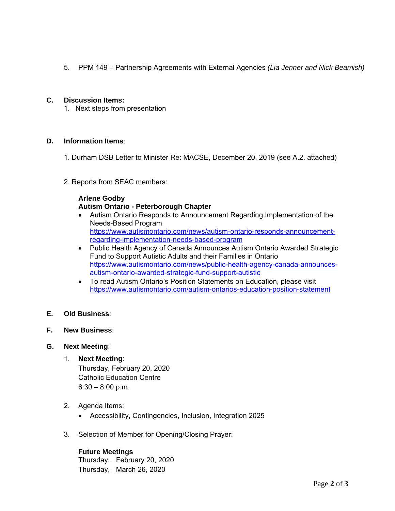5. PPM 149 – Partnership Agreements with External Agencies *(Lia Jenner and Nick Beamish)*

## **C. Discussion Items:**

1. Next steps from presentation

#### **D. Information Items**:

- 1. Durham DSB Letter to Minister Re: MACSE, December 20, 2019 (see A.2. attached)
- 2. Reports from SEAC members:

#### **Arlene Godby**

## **Autism Ontario - Peterborough Chapter**

- Autism Ontario Responds to Announcement Regarding Implementation of the Needs-Based Program [https://www.autismontario.com/news/autism-ontario-responds-announcement](https://www.autismontario.com/news/autism-ontario-responds-announcement-regarding-implementation-needs-based-program)[regarding-implementation-needs-based-program](https://www.autismontario.com/news/autism-ontario-responds-announcement-regarding-implementation-needs-based-program)
- Public Health Agency of Canada Announces Autism Ontario Awarded Strategic Fund to Support Autistic Adults and their Families in Ontario [https://www.autismontario.com/news/public-health-agency-canada-announces](https://www.autismontario.com/news/public-health-agency-canada-announces-autism-ontario-awarded-strategic-fund-support-autistic)[autism-ontario-awarded-strategic-fund-support-autistic](https://www.autismontario.com/news/public-health-agency-canada-announces-autism-ontario-awarded-strategic-fund-support-autistic)
- To read Autism Ontario's Position Statements on Education, please visit <https://www.autismontario.com/autism-ontarios-education-position-statement>

# **E. Old Business**:

**F. New Business**:

#### **G. Next Meeting**:

- 1. **Next Meeting**: Thursday, February 20, 2020 Catholic Education Centre  $6:30 - 8:00$  p.m.
- 2. Agenda Items:
	- Accessibility, Contingencies, Inclusion, Integration 2025
- 3. Selection of Member for Opening/Closing Prayer:

## **Future Meetings**

Thursday, February 20, 2020 Thursday, March 26, 2020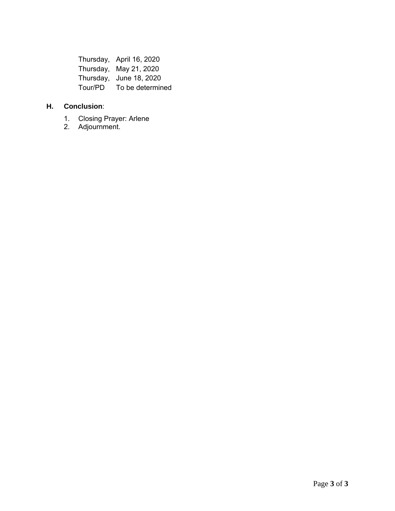Thursday, April 16, 2020 Thursday, May 21, 2020 Thursday, June 18, 2020 Tour/PD To be determined

# **H. Conclusion**:

- 1. Closing Prayer: Arlene
- 2. Adjournment.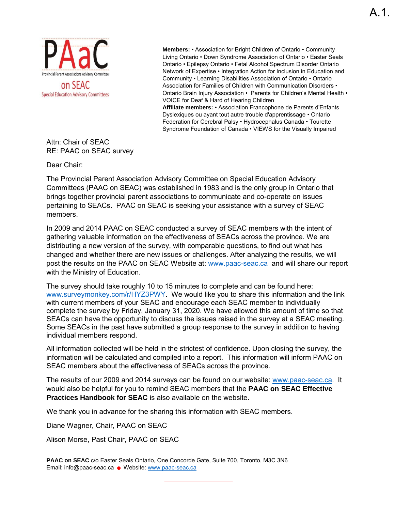

**Members:** • Association for Bright Children of Ontario • Community Living Ontario • Down Syndrome Association of Ontario • Easter Seals Ontario • Epilepsy Ontario • Fetal Alcohol Spectrum Disorder Ontario Network of Expertise • Integration Action for Inclusion in Education and Community • Learning Disabilities Association of Ontario • Ontario Association for Families of Children with Communication Disorders • Ontario Brain Injury Association • Parents for Children's Mental Health • VOICE for Deaf & Hard of Hearing Children **Affiliate members:** • Association Francophone de Parents d'Enfants

Dyslexiques ou ayant tout autre trouble d'apprentissage • Ontario Federation for Cerebral Palsy • Hydrocephalus Canada • Tourette Syndrome Foundation of Canada • VIEWS for the Visually Impaired

Attn: Chair of SEAC RE: PAAC on SEAC survey

Dear Chair:

The Provincial Parent Association Advisory Committee on Special Education Advisory Committees (PAAC on SEAC) was established in 1983 and is the only group in Ontario that brings together provincial parent associations to communicate and co-operate on issues pertaining to SEACs. PAAC on SEAC is seeking your assistance with a survey of SEAC members.

In 2009 and 2014 PAAC on SEAC conducted a survey of SEAC members with the intent of gathering valuable information on the effectiveness of SEACs across the province. We are distributing a new version of the survey, with comparable questions, to find out what has changed and whether there are new issues or challenges. After analyzing the results, we will post the results on the PAAC on SEAC Website at: [www.paac-seac.ca](http://www.paac-seac.ca/) and will share our report with the Ministry of Education.

The survey should take roughly 10 to 15 minutes to complete and can be found here: [www.surveymonkey.com/r/HYZ3PWY.](http://www.surveymonkey.com/r/HYZ3PWY) We would like you to share this information and the link with current members of your SEAC and encourage each SEAC member to individually complete the survey by Friday, January 31, 2020. We have allowed this amount of time so that SEACs can have the opportunity to discuss the issues raised in the survey at a SEAC meeting. Some SEACs in the past have submitted a group response to the survey in addition to having individual members respond.

All information collected will be held in the strictest of confidence. Upon closing the survey, the information will be calculated and compiled into a report. This information will inform PAAC on SEAC members about the effectiveness of SEACs across the province.

The results of our 2009 and 2014 surveys can be found on our website: [www.paac-seac.ca.](http://www.paac-seac.ca/) It would also be helpful for you to remind SEAC members that the **PAAC on SEAC Effective Practices Handbook for SEAC** is also available on the website.

We thank you in advance for the sharing this information with SEAC members.

Diane Wagner, Chair, PAAC on SEAC

Alison Morse, Past Chair, PAAC on SEAC

**PAAC on SEAC** c/o Easter Seals Ontario, One Concorde Gate, Suite 700, Toronto, M3C 3N6 Email: info@paac-seac.ca · Website: www.paac-seac.ca